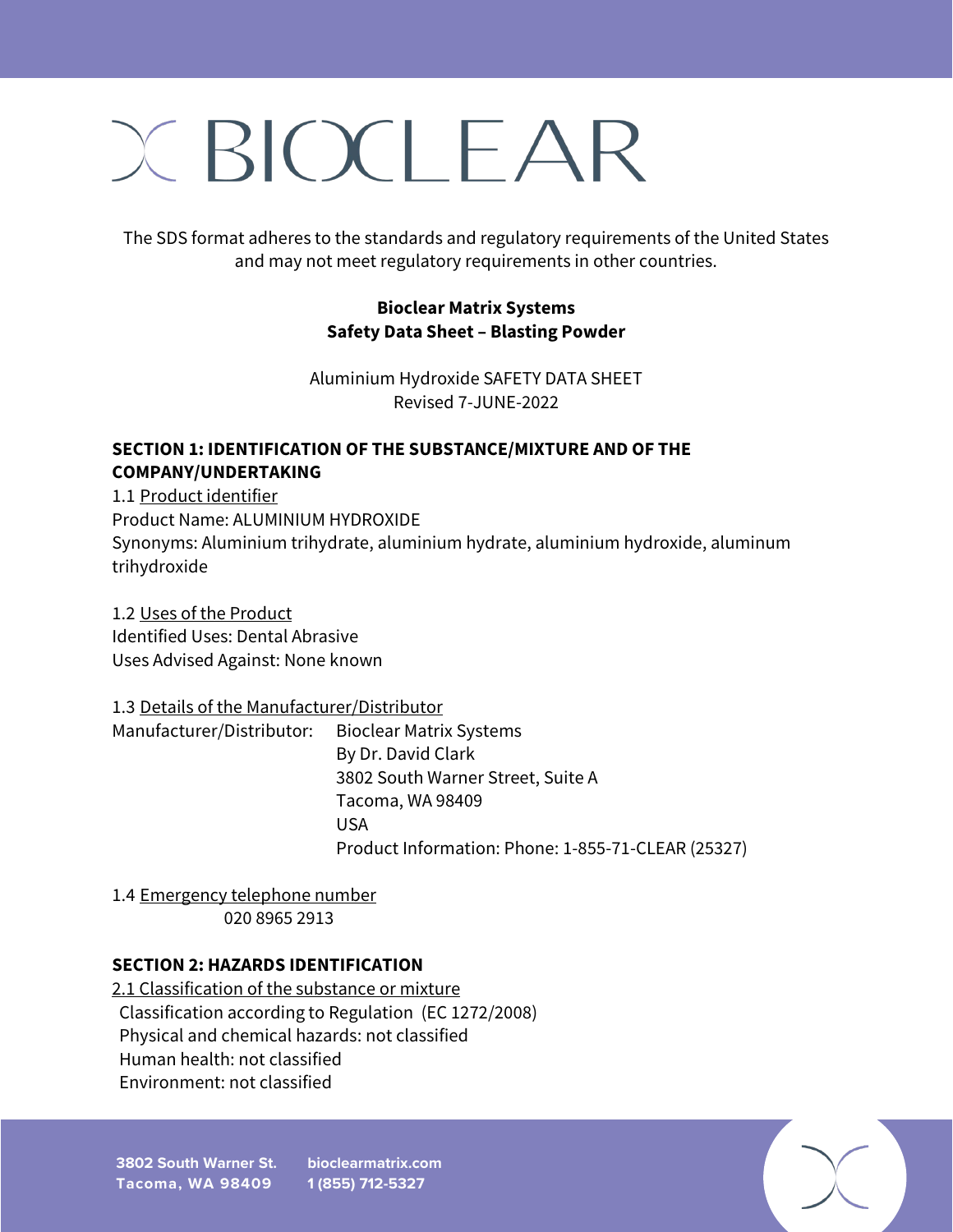# $X BIOCI FAR$

The SDS format adheres to the standards and regulatory requirements of the United States and may not meet regulatory requirements in other countries.

### **Bioclear Matrix Systems Safety Data Sheet – Blasting Powder**

Aluminium Hydroxide SAFETY DATA SHEET Revised 7-JUNE-2022

#### **SECTION 1: IDENTIFICATION OF THE SUBSTANCE/MIXTURE AND OF THE COMPANY/UNDERTAKING**

1.1 Product identifier Product Name: ALUMINIUM HYDROXIDE Synonyms: Aluminium trihydrate, aluminium hydrate, aluminium hydroxide, aluminum trihydroxide

1.2 Uses of the Product Identified Uses: Dental Abrasive Uses Advised Against: None known

### 1.3 Details of the Manufacturer/Distributor

Manufacturer/Distributor: Bioclear Matrix Systems By Dr. David Clark 3802 South Warner Street, Suite A Tacoma, WA 98409 USA DE L'ANGLES DE L'ANGLES DE L'ANGLES DE L'ANGLES DE L'ANGLES DE L'ANGLES DE L'ANGLES DE L'ANGLES D Product Information: Phone: 1-855-71-CLEAR (25327)

1.4 Emergency telephone number 020 8965 2913

## **SECTION 2: HAZARDS IDENTIFICATION**

2.1 Classification of the substance or mixture Classification according to Regulation (EC 1272/2008) Physical and chemical hazards: not classified Human health: not classified Environment: not classified

**3802 South Warner St. Tacoma, WA 98409 bioclearmatrix.com 1 (855) 712-5327**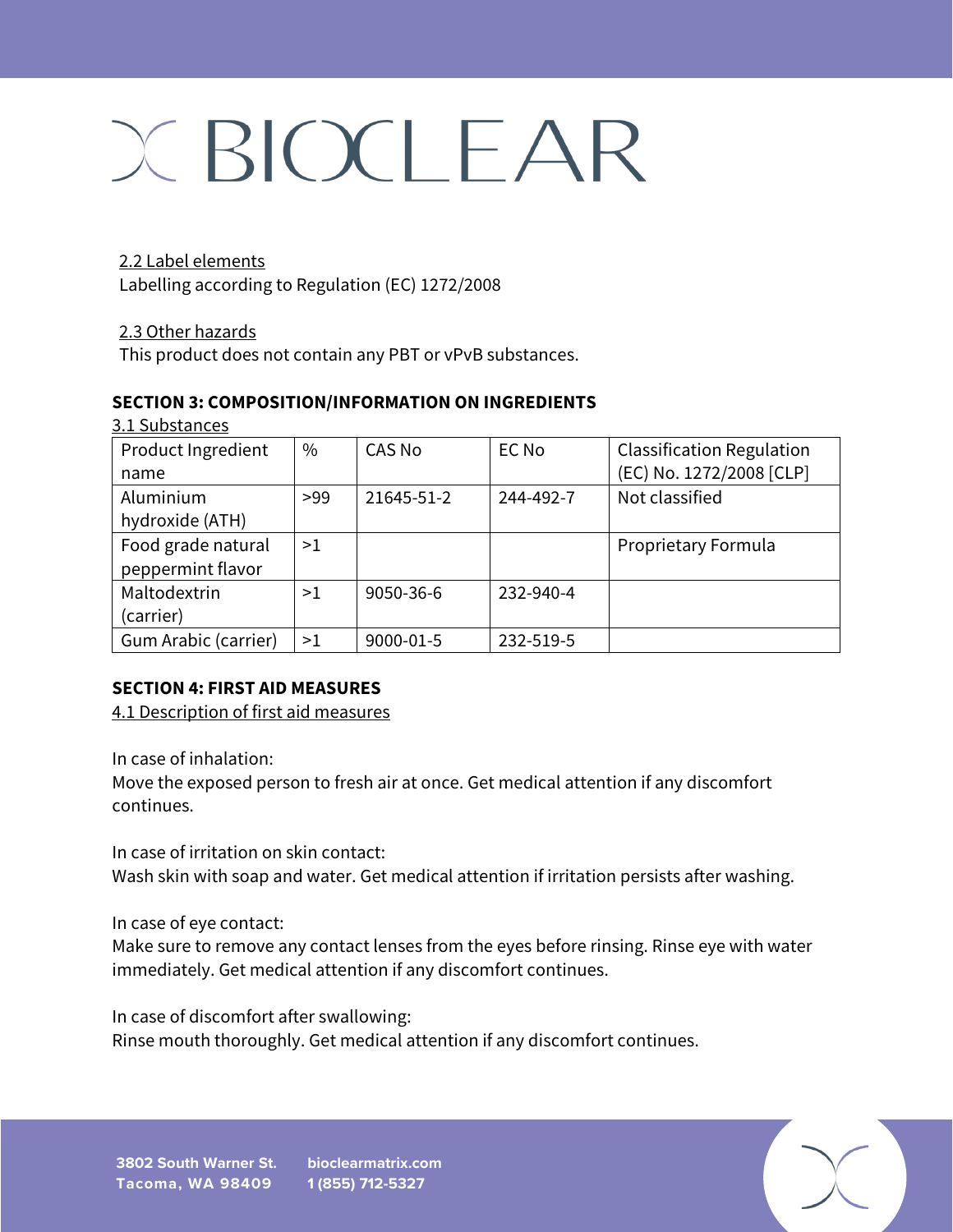### 2.2 Label elements

Labelling according to Regulation (EC) 1272/2008

#### 2.3 Other hazards

This product does not contain any PBT or vPvB substances.

### **SECTION 3: COMPOSITION/INFORMATION ON INGREDIENTS**

| 3.1 Substances       |               |            |           |                                  |
|----------------------|---------------|------------|-----------|----------------------------------|
| Product Ingredient   | $\frac{0}{0}$ | CAS No     | EC No     | <b>Classification Regulation</b> |
| name                 |               |            |           | (EC) No. 1272/2008 [CLP]         |
| Aluminium            | >99           | 21645-51-2 | 244-492-7 | Not classified                   |
| hydroxide (ATH)      |               |            |           |                                  |
| Food grade natural   | >1            |            |           | Proprietary Formula              |
| peppermint flavor    |               |            |           |                                  |
| Maltodextrin         | >1            | 9050-36-6  | 232-940-4 |                                  |
| (carrier)            |               |            |           |                                  |
| Gum Arabic (carrier) | >1            | 9000-01-5  | 232-519-5 |                                  |

### **SECTION 4: FIRST AID MEASURES**

4.1 Description of first aid measures

In case of inhalation:

Move the exposed person to fresh air at once. Get medical attention if any discomfort continues.

In case of irritation on skin contact:

Wash skin with soap and water. Get medical attention if irritation persists after washing.

In case of eye contact:

Make sure to remove any contact lenses from the eyes before rinsing. Rinse eye with water immediately. Get medical attention if any discomfort continues.

In case of discomfort after swallowing:

Rinse mouth thoroughly. Get medical attention if any discomfort continues.

**1 (855) 712-5327**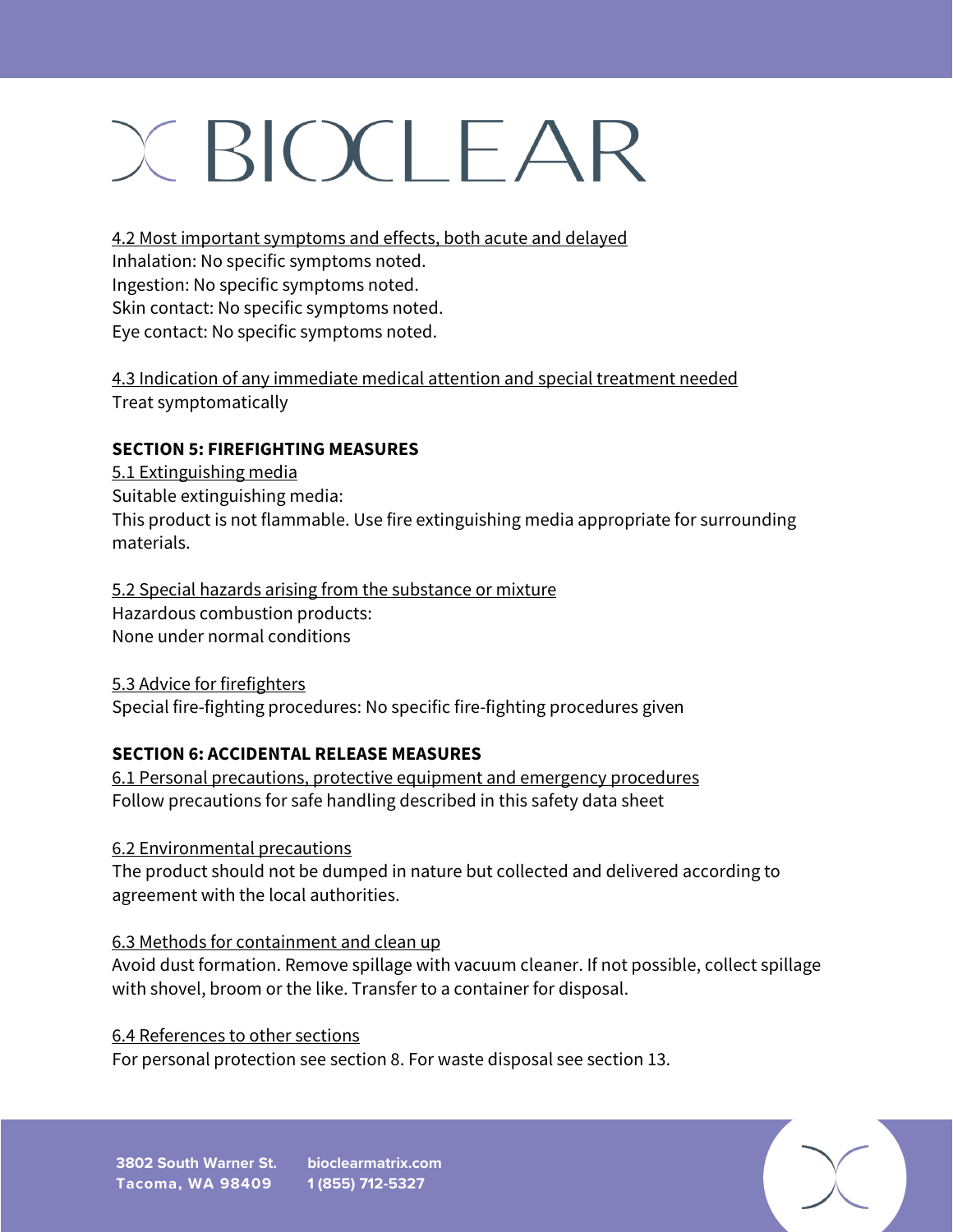4.2 Most important symptoms and effects, both acute and delayed

Inhalation: No specific symptoms noted.

Ingestion: No specific symptoms noted.

Skin contact: No specific symptoms noted.

Eye contact: No specific symptoms noted.

4.3 Indication of any immediate medical attention and special treatment needed Treat symptomatically

## **SECTION 5: FIREFIGHTING MEASURES**

5.1 Extinguishing media Suitable extinguishing media: This product is not flammable. Use fire extinguishing media appropriate for surrounding materials.

5.2 Special hazards arising from the substance or mixture Hazardous combustion products: None under normal conditions

5.3 Advice for firefighters Special fire-fighting procedures: No specific fire-fighting procedures given

## **SECTION 6: ACCIDENTAL RELEASE MEASURES**

6.1 Personal precautions, protective equipment and emergency procedures Follow precautions for safe handling described in this safety data sheet

6.2 Environmental precautions

The product should not be dumped in nature but collected and delivered according to agreement with the local authorities.

## 6.3 Methods for containment and clean up

Avoid dust formation. Remove spillage with vacuum cleaner. If not possible, collect spillage with shovel, broom or the like. Transfer to a container for disposal.

## 6.4 References to other sections

For personal protection see section 8. For waste disposal see section 13.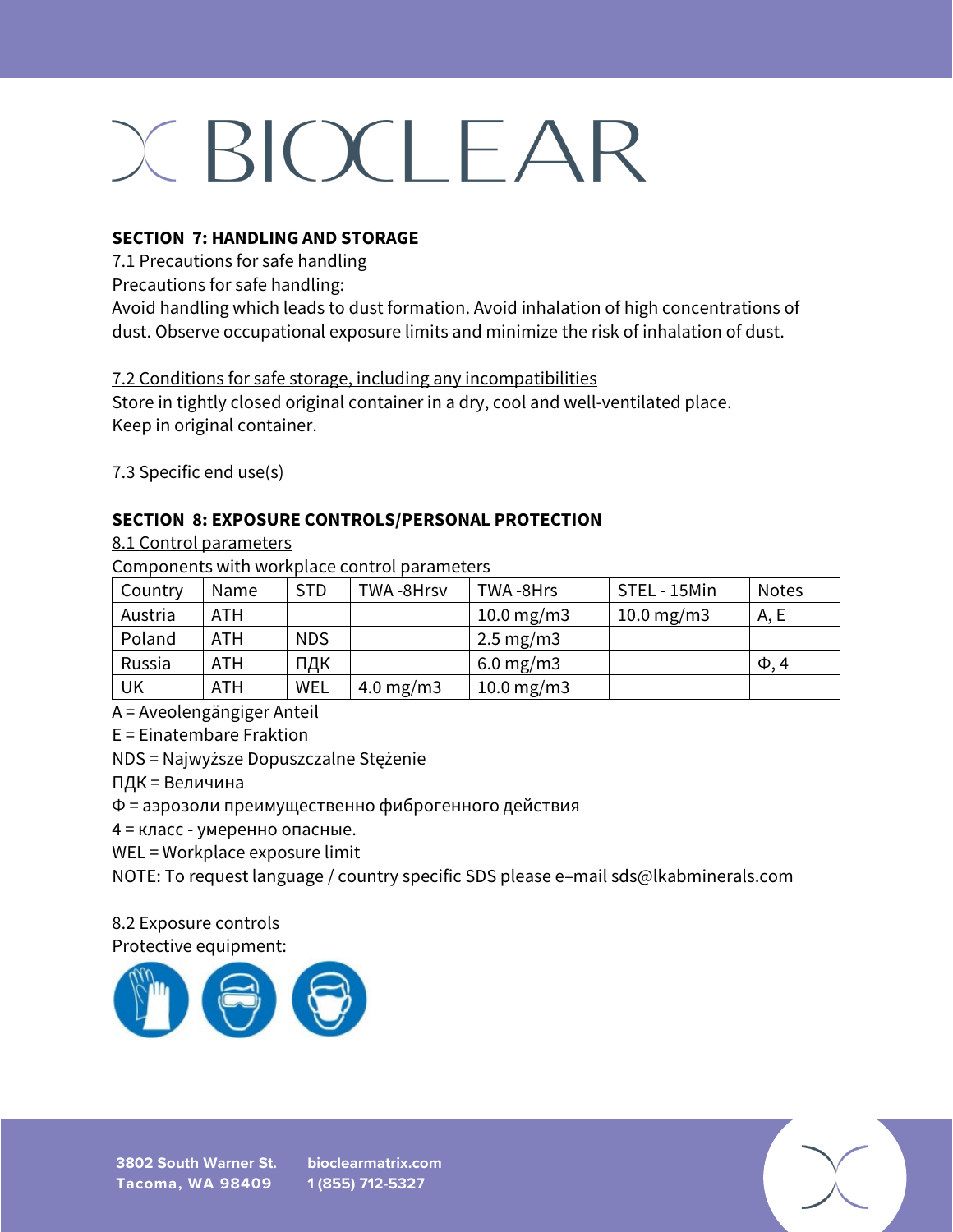### **SECTION 7: HANDLING AND STORAGE**

7.1 Precautions for safe handling

Precautions for safe handling:

Avoid handling which leads to dust formation. Avoid inhalation of high concentrations of dust. Observe occupational exposure limits and minimize the risk of inhalation of dust.

7.2 Conditions for safe storage, including any incompatibilities

Store in tightly closed original container in a dry, cool and well-ventilated place. Keep in original container.

7.3 Specific end use(s)

### **SECTION 8: EXPOSURE CONTROLS/PERSONAL PROTECTION**

#### 8.1 Control parameters

Components with workplace control parameters

| Country | Name | <b>STD</b> | TWA-8Hrsv    | TWA-8Hrs             | STEL - 15Min | <b>Notes</b> |
|---------|------|------------|--------------|----------------------|--------------|--------------|
| Austria | ATH  |            |              | 10.0 mg/m3           | 10.0 mg/m3   | A, E         |
| Poland  | ATH  | <b>NDS</b> |              | $2.5 \text{ mg/m}$ 3 |              |              |
| Russia  | ATH  | ПДК        |              | $6.0 \text{ mg/m}$ 3 |              | $\Phi$ , 4   |
| UK      | ATH  | WEL        | 4.0 mg/m $3$ | 10.0 mg/m3           |              |              |

A = Aveolengängiger Anteil

E = Einatembare Fraktion

NDS = Najwyższe Dopuszczalne Stężenie

ПДК = Величина

Ф = аэрозоли преимущественно фиброгенного действия

4 = класс - умеренно опасные.

WEL = Workplace exposure limit

NOTE: To request language / country specific SDS please e–mail sds@lkabminerals.com

## 8.2 Exposure controls

Protective equipment:



**bioclearmatrix.com 1 (855) 712-5327**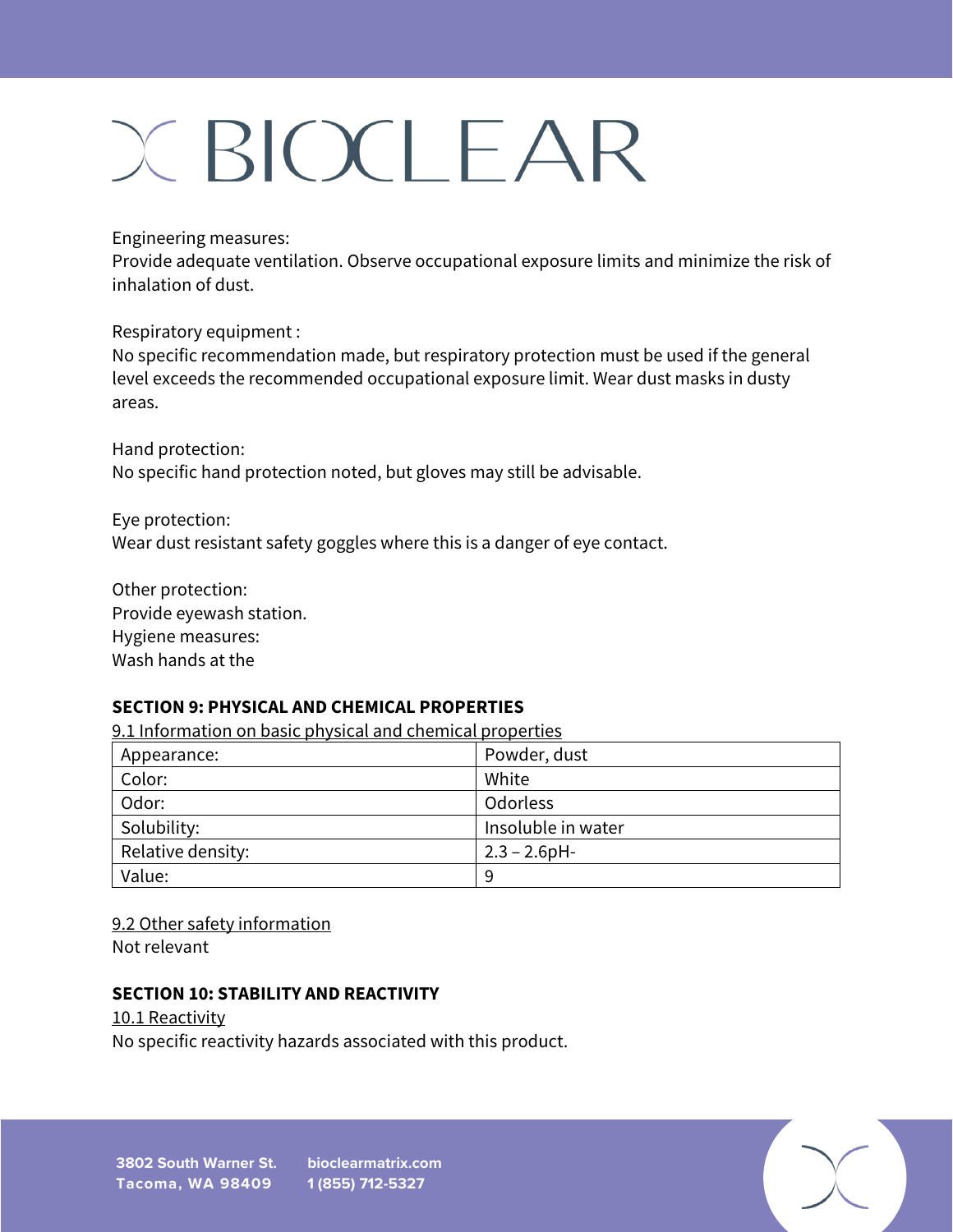Engineering measures:

Provide adequate ventilation. Observe occupational exposure limits and minimize the risk of inhalation of dust.

Respiratory equipment :

No specific recommendation made, but respiratory protection must be used if the general level exceeds the recommended occupational exposure limit. Wear dust masks in dusty areas.

Hand protection: No specific hand protection noted, but gloves may still be advisable.

Eye protection: Wear dust resistant safety goggles where this is a danger of eye contact.

Other protection: Provide eyewash station. Hygiene measures: Wash hands at the

### **SECTION 9: PHYSICAL AND CHEMICAL PROPERTIES**

9.1 Information on basic physical and chemical properties

| Appearance:       | Powder, dust       |
|-------------------|--------------------|
| Color:            | White              |
| Odor:             | Odorless           |
| Solubility:       | Insoluble in water |
| Relative density: | $2.3 - 2.6$ pH-    |
| Value:            | 9                  |

9.2 Other safety information Not relevant

### **SECTION 10: STABILITY AND REACTIVITY**

10.1 Reactivity No specific reactivity hazards associated with this product.

**3802 South Warner St. Tacoma, WA 98409 bioclearmatrix.com 1 (855) 712-5327**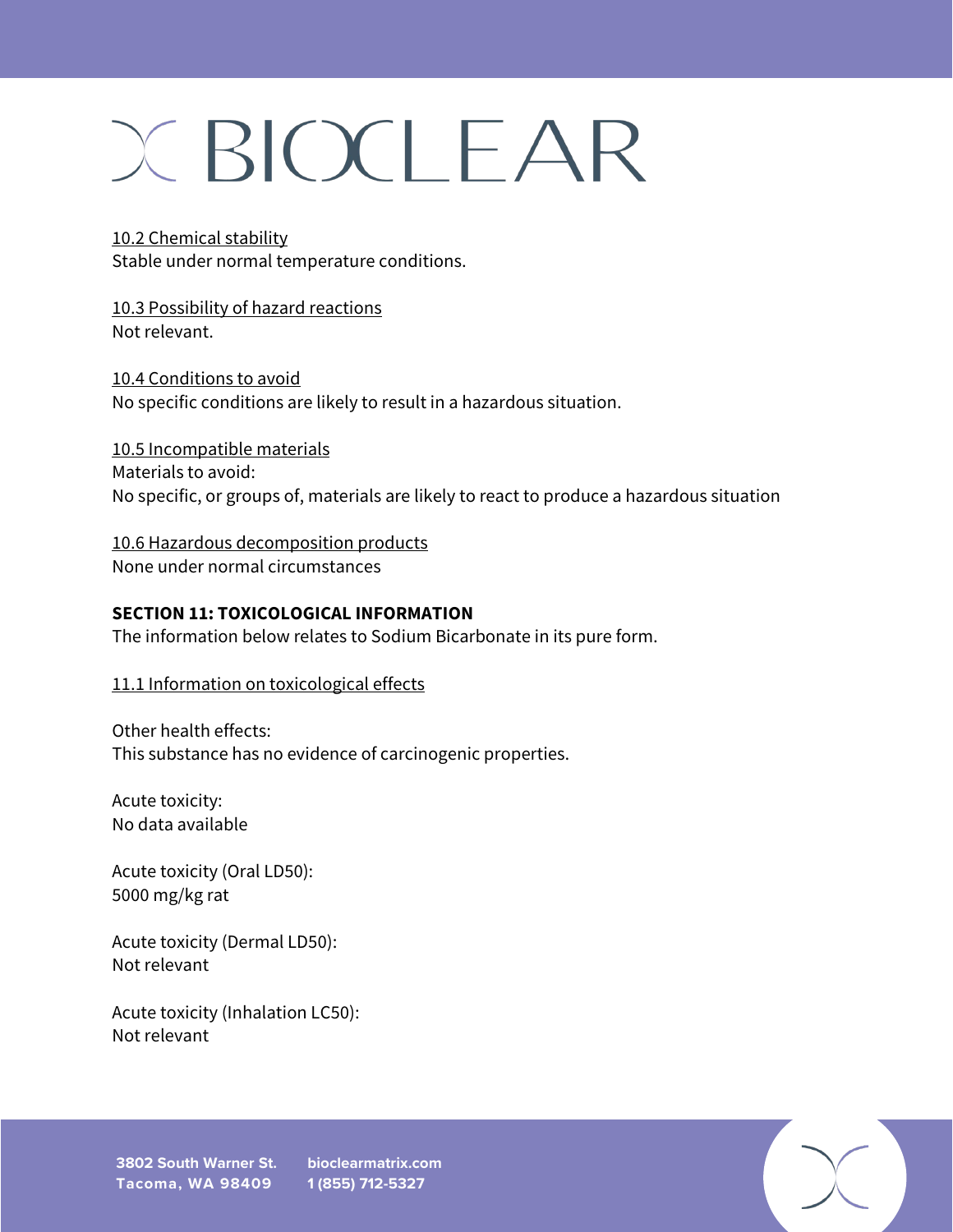10.2 Chemical stability Stable under normal temperature conditions.

10.3 Possibility of hazard reactions Not relevant.

10.4 Conditions to avoid No specific conditions are likely to result in a hazardous situation.

10.5 Incompatible materials Materials to avoid: No specific, or groups of, materials are likely to react to produce a hazardous situation

10.6 Hazardous decomposition products None under normal circumstances

### **SECTION 11: TOXICOLOGICAL INFORMATION**

The information below relates to Sodium Bicarbonate in its pure form.

11.1 Information on toxicological effects

Other health effects: This substance has no evidence of carcinogenic properties.

Acute toxicity: No data available

Acute toxicity (Oral LD50): 5000 mg/kg rat

Acute toxicity (Dermal LD50): Not relevant

Acute toxicity (Inhalation LC50): Not relevant

**3802 South Warner St. bioclearmatrix.com Tacoma, WA 98409**

**1 (855) 712-5327**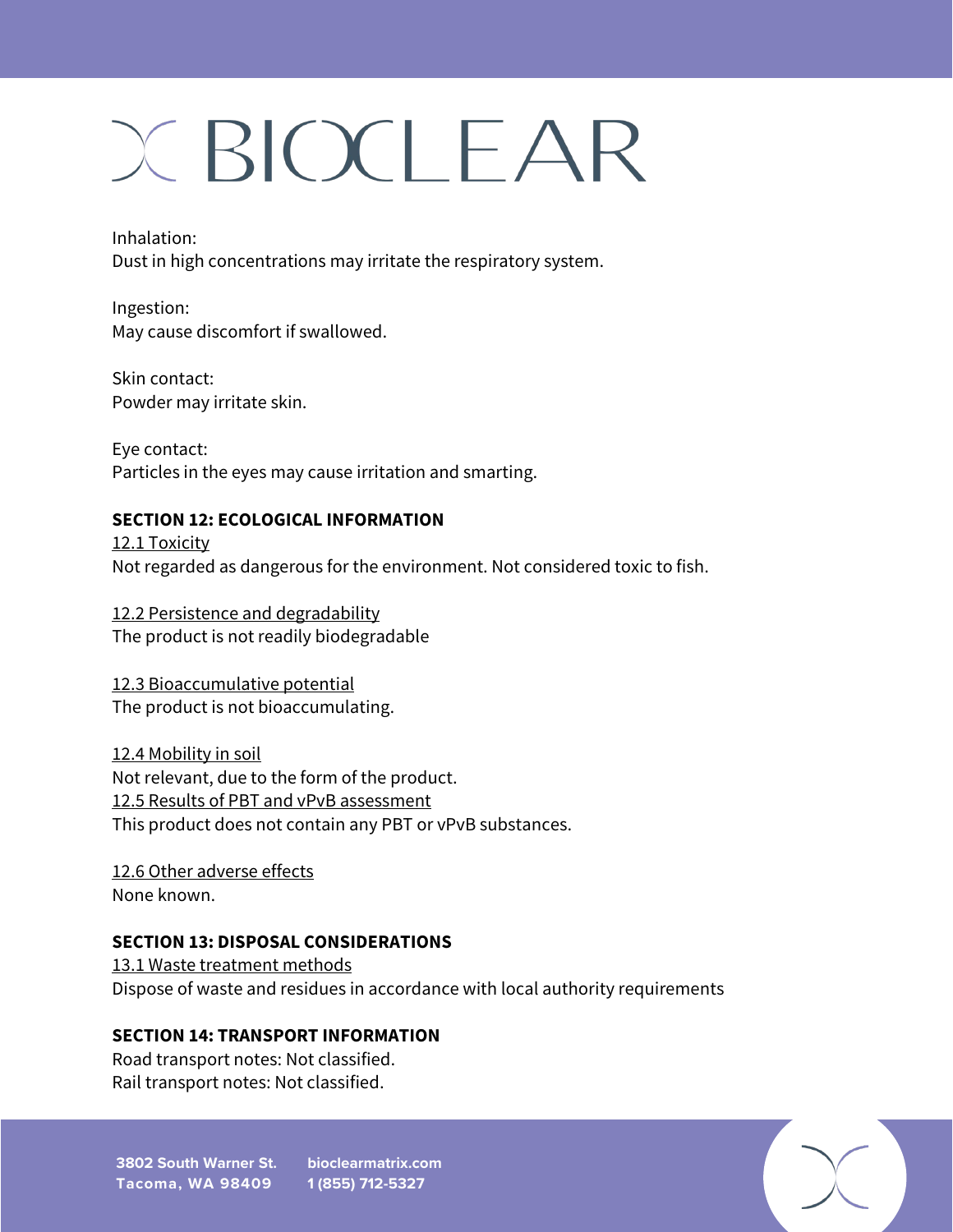Inhalation: Dust in high concentrations may irritate the respiratory system.

Ingestion: May cause discomfort if swallowed.

Skin contact: Powder may irritate skin.

Eye contact: Particles in the eyes may cause irritation and smarting.

## **SECTION 12: ECOLOGICAL INFORMATION**

12.1 Toxicity Not regarded as dangerous for the environment. Not considered toxic to fish.

12.2 Persistence and degradability The product is not readily biodegradable

12.3 Bioaccumulative potential The product is not bioaccumulating.

12.4 Mobility in soil Not relevant, due to the form of the product. 12.5 Results of PBT and vPvB assessment This product does not contain any PBT or vPvB substances.

12.6 Other adverse effects None known.

## **SECTION 13: DISPOSAL CONSIDERATIONS**

13.1 Waste treatment methods Dispose of waste and residues in accordance with local authority requirements

## **SECTION 14: TRANSPORT INFORMATION**

Road transport notes: Not classified. Rail transport notes: Not classified.

**3802 South Warner St. bioclearmatrix.com Tacoma, WA 98409 1 (855) 712-5327**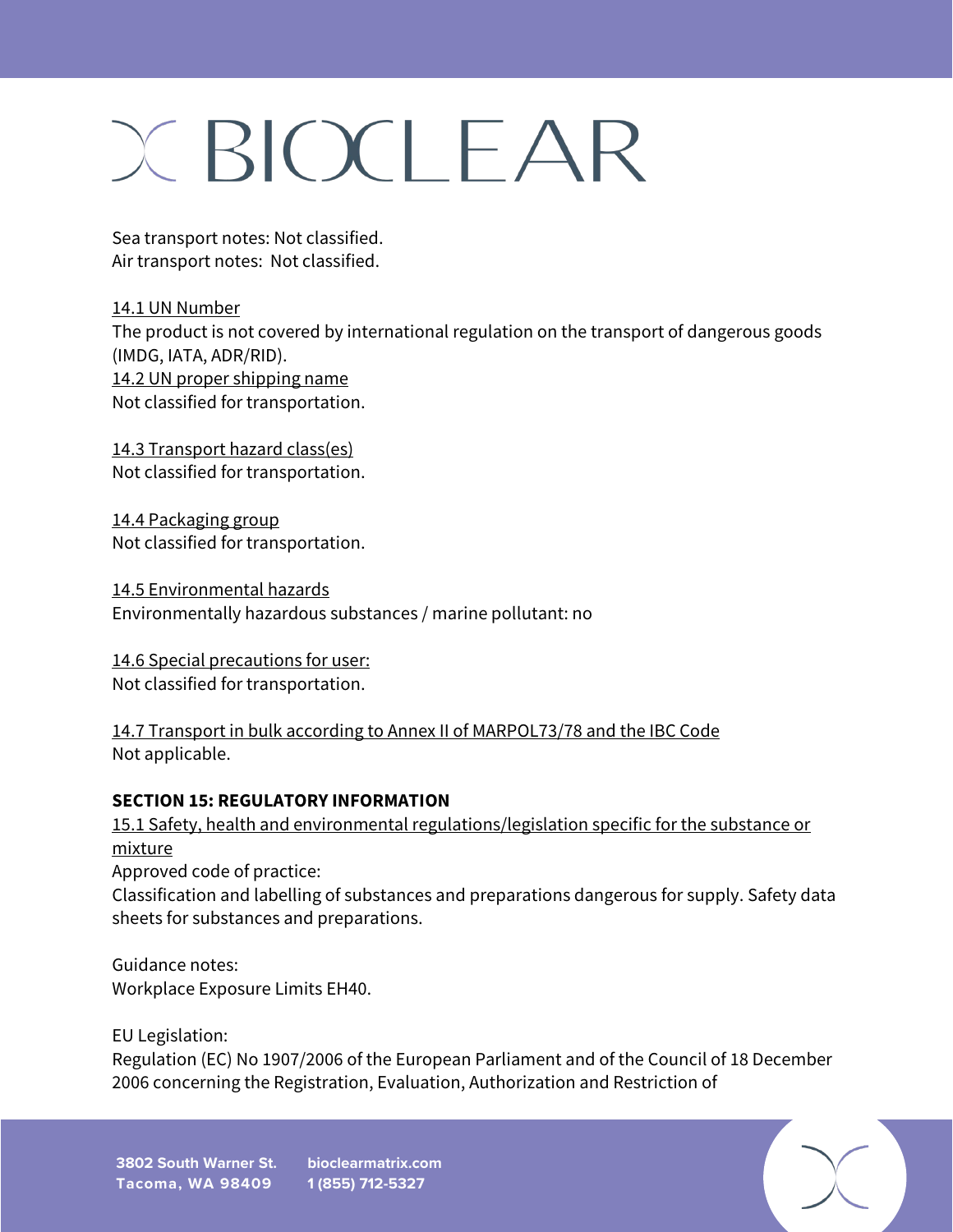Sea transport notes: Not classified. Air transport notes: Not classified.

14.1 UN Number The product is not covered by international regulation on the transport of dangerous goods (IMDG, IATA, ADR/RID). 14.2 UN proper shipping name Not classified for transportation.

14.3 Transport hazard class(es) Not classified for transportation.

14.4 Packaging group Not classified for transportation.

14.5 Environmental hazards Environmentally hazardous substances / marine pollutant: no

14.6 Special precautions for user: Not classified for transportation.

14.7 Transport in bulk according to Annex II of MARPOL73/78 and the IBC Code Not applicable.

### **SECTION 15: REGULATORY INFORMATION**

15.1 Safety, health and environmental regulations/legislation specific for the substance or mixture Approved code of practice: Classification and labelling of substances and preparations dangerous for supply. Safety data sheets for substances and preparations.

Guidance notes: Workplace Exposure Limits EH40.

EU Legislation:

Regulation (EC) No 1907/2006 of the European Parliament and of the Council of 18 December 2006 concerning the Registration, Evaluation, Authorization and Restriction of